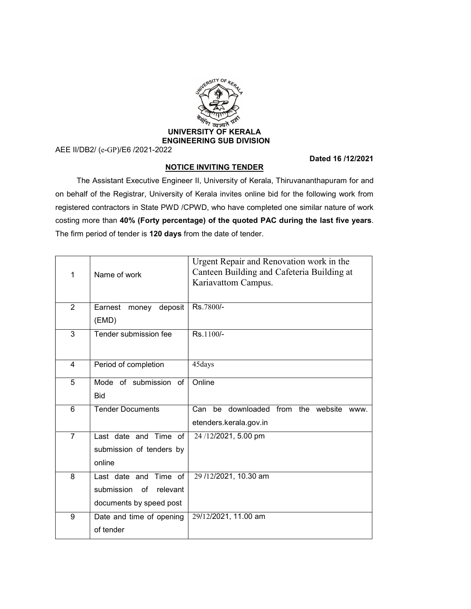

Dated 16 /12/2021

## NOTICE INVITING TENDER

 The Assistant Executive Engineer II, University of Kerala, Thiruvananthapuram for and on behalf of the Registrar, University of Kerala invites online bid for the following work from registered contractors in State PWD /CPWD, who have completed one similar nature of work costing more than 40% (Forty percentage) of the quoted PAC during the last five years. The firm period of tender is 120 days from the date of tender.

| 1              | Name of work                                                               | Urgent Repair and Renovation work in the<br>Canteen Building and Cafeteria Building at<br>Kariavattom Campus. |  |
|----------------|----------------------------------------------------------------------------|---------------------------------------------------------------------------------------------------------------|--|
| $\overline{2}$ | deposit<br>Earnest<br>money<br>(EMD)                                       | Rs.7800/-                                                                                                     |  |
| 3              | Tender submission fee                                                      | Rs.1100/-                                                                                                     |  |
| 4              | Period of completion                                                       | 45days                                                                                                        |  |
| 5              | Mode of submission of<br><b>Bid</b>                                        | Online                                                                                                        |  |
| 6              | <b>Tender Documents</b>                                                    | be downloaded from the website www.<br>Can<br>etenders.kerala.gov.in                                          |  |
| $\overline{7}$ | Last date and Time of<br>submission of tenders by<br>online                | 24/12/2021, 5.00 pm                                                                                           |  |
| 8              | Last date and Time of<br>submission of relevant<br>documents by speed post | 29/12/2021, 10.30 am                                                                                          |  |
| 9              | Date and time of opening<br>of tender                                      | 29/12/2021, 11.00 am                                                                                          |  |